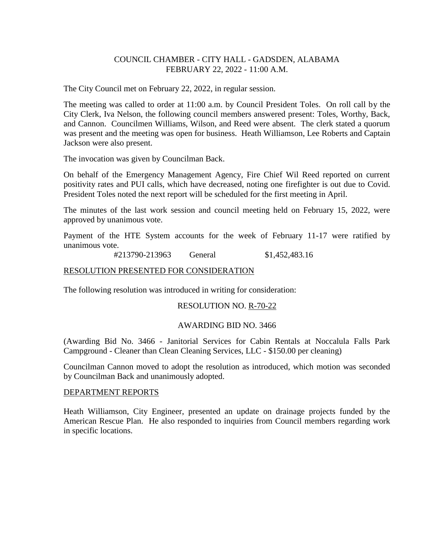## COUNCIL CHAMBER - CITY HALL - GADSDEN, ALABAMA FEBRUARY 22, 2022 - 11:00 A.M.

The City Council met on February 22, 2022, in regular session.

The meeting was called to order at 11:00 a.m. by Council President Toles. On roll call by the City Clerk, Iva Nelson, the following council members answered present: Toles, Worthy, Back, and Cannon. Councilmen Williams, Wilson, and Reed were absent. The clerk stated a quorum was present and the meeting was open for business. Heath Williamson, Lee Roberts and Captain Jackson were also present.

The invocation was given by Councilman Back.

On behalf of the Emergency Management Agency, Fire Chief Wil Reed reported on current positivity rates and PUI calls, which have decreased, noting one firefighter is out due to Covid. President Toles noted the next report will be scheduled for the first meeting in April.

The minutes of the last work session and council meeting held on February 15, 2022, were approved by unanimous vote.

Payment of the HTE System accounts for the week of February 11-17 were ratified by unanimous vote.

#213790-213963 General \$1,452,483.16

### RESOLUTION PRESENTED FOR CONSIDERATION

The following resolution was introduced in writing for consideration:

### RESOLUTION NO. R-70-22

### AWARDING BID NO. 3466

(Awarding Bid No. 3466 - Janitorial Services for Cabin Rentals at Noccalula Falls Park Campground - Cleaner than Clean Cleaning Services, LLC - \$150.00 per cleaning)

Councilman Cannon moved to adopt the resolution as introduced, which motion was seconded by Councilman Back and unanimously adopted.

#### DEPARTMENT REPORTS

Heath Williamson, City Engineer, presented an update on drainage projects funded by the American Rescue Plan. He also responded to inquiries from Council members regarding work in specific locations.